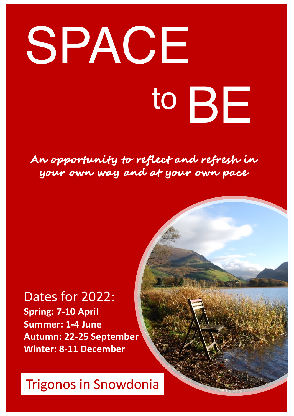# SPACE to BE

## **An opportunity to reflect and refresh in your own way and at your own pace**

## Dates for 2022: **Spring: 7-10 April Summer: 1-4 June Autumn: 22-25 September Winter: 8-11 December**

# Trigonos in Snowdonia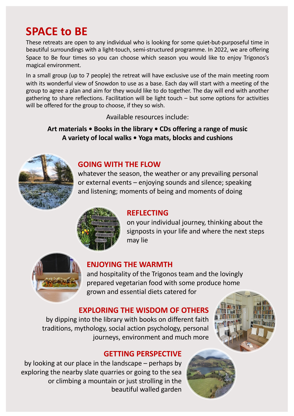# **SPACE to BE**

These retreats are open to any individual who is looking for some quiet-but-purposeful time in beautiful surroundings with a light-touch, semi-structured programme. In 2022, we are offering Space to Be four times so you can choose which season you would like to enjoy Trigonos's magical environment.

In a small group (up to 7 people) the retreat will have exclusive use of the main meeting room with its wonderful view of Snowdon to use as a base. Each day will start with a meeting of the group to agree a plan and aim for they would like to do together. The day will end with another gathering to share reflections. Facilitation will be light touch – but some options for activities will be offered for the group to choose, if they so wish.

Available resources include:

#### **Art materials • Books in the library • CDs offering a range of music A variety of local walks • Yoga mats, blocks and cushions**



#### **GOING WITH THE FLOW**

whatever the season, the weather or any prevailing personal or external events – enjoying sounds and silence; speaking and listening; moments of being and moments of doing



#### **REFLECTING**

on your individual journey, thinking about the signposts in your life and where the next steps may lie



#### **ENJOYING THE WARMTH**

and hospitality of the Trigonos team and the lovingly prepared vegetarian food with some produce home grown and essential diets catered for

#### **EXPLORING THE WISDOM OF OTHERS**

by dipping into the library with books on different faith traditions, mythology, social action psychology, personal journeys, environment and much more



#### **GETTING PERSPECTIVE**

by looking at our place in the landscape – perhaps by exploring the nearby slate quarries or going to the sea or climbing a mountain or just strolling in the beautiful walled garden

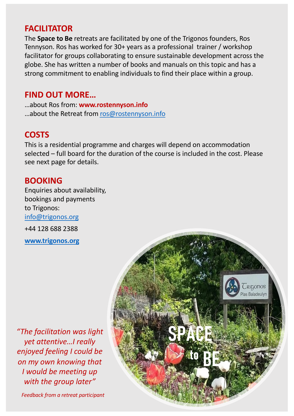#### **FACILITATOR**

The **Space to Be** retreats are facilitated by one of the Trigonos founders, Ros Tennyson. Ros has worked for 30+ years as a professional trainer / workshop facilitator for groups collaborating to ensure sustainable development across the globe. She has written a number of books and manuals on this topic and has a strong commitment to enabling individuals to find their place within a group.

#### **FIND OUT MORE…**

…about Ros from: **www.rostennyson.info** …about the Retreat fro[m ros@rostennyson.in](mailto:ros@rostennyson.info)fo

### **COSTS**

This is a residential programme and charges will depend on accommodation selected – full board for the duration of the course is included in the cost. Please see next page for details.

#### **BOOKING**

Enquiries about availability, bookings and payments to Trigonos: [info@trigonos.o](mailto:info@trigonos.org)rg +44 128 688 2388

**[www.trigonos.o](http://www.trigonos.org/)rg**

*"The facilitation was light yet attentive…I really enjoyed feeling I could be on my own knowing that I would be meeting up with the group later"*

*Feedback from a retreat participant*

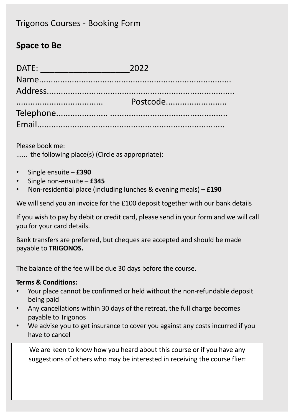#### Trigonos Courses - Booking Form

#### **Space to Be**

| Postcode |
|----------|
|          |
|          |

Please book me:

...... the following place(s) (Circle as appropriate):

- Single ensuite **£390**
- Single non-ensuite **£345**
- Non-residential place (including lunches & evening meals) **£190**

We will send you an invoice for the £100 deposit together with our bank details

If you wish to pay by debit or credit card, please send in your form and we will call you for your card details.

Bank transfers are preferred, but cheques are accepted and should be made payable to **TRIGONOS.**

The balance of the fee will be due 30 days before the course.

#### **Terms & Conditions:**

- Your place cannot be confirmed or held without the non-refundable deposit being paid
- Any cancellations within 30 days of the retreat, the full charge becomes payable to Trigonos
- We advise you to get insurance to cover you against any costs incurred if you have to cancel

We are keen to know how you heard about this course or if you have any suggestions of others who may be interested in receiving the course flier: